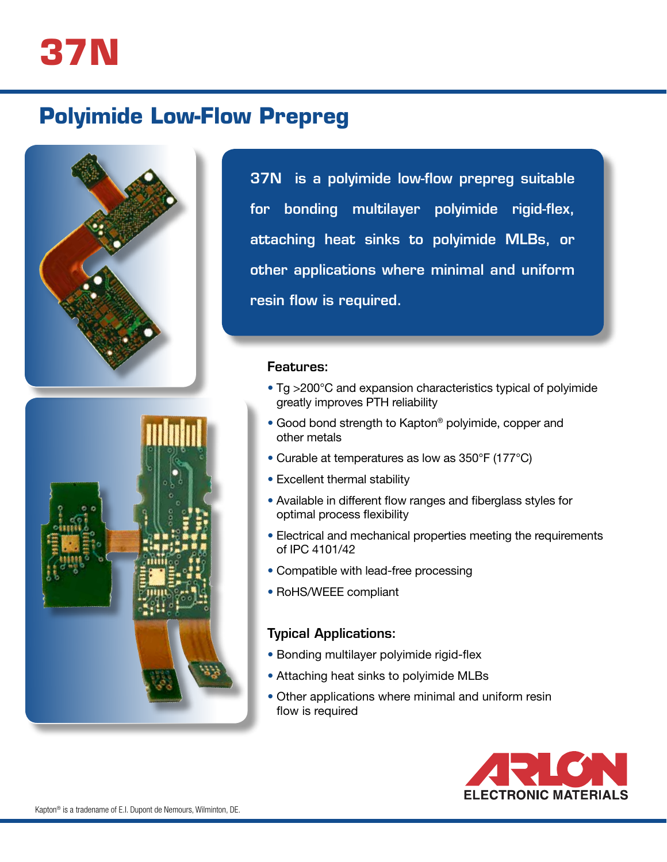

# **Polyimide Low-Flow Prepreg**





37N is a polyimide low-flow prepreg suitable for bonding multilayer polyimide rigid-flex, attaching heat sinks to polyimide MLBs, or other applications where minimal and uniform resin flow is required.

#### Features:

- Tg >200°C and expansion characteristics typical of polyimide greatly improves PTH reliability
- Good bond strength to Kapton® polyimide, copper and other metals
- Curable at temperatures as low as 350°F (177°C)
- Excellent thermal stability
- Available in different flow ranges and fiberglass styles for optimal process flexibility
- Electrical and mechanical properties meeting the requirements of IPC 4101/42
- Compatible with lead-free processing
- RoHS/WEEE compliant

#### Typical Applications:

- Bonding multilayer polyimide rigid-flex
- Attaching heat sinks to polyimide MLBs
- Other applications where minimal and uniform resin flow is required

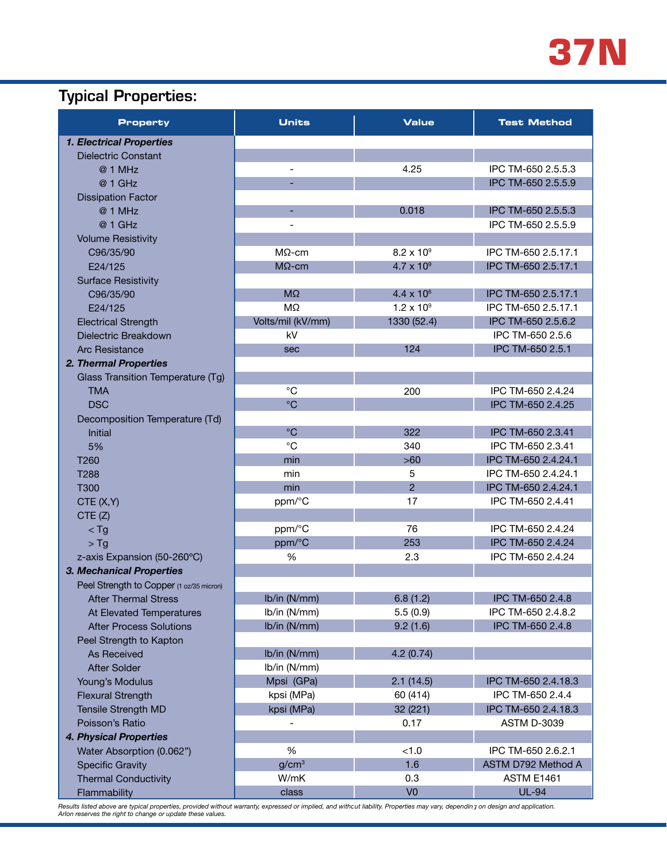

## Typical Properties:

| <b>Property</b>                          | <b>Units</b>             | <b>Value</b>        | <b>Test Method</b>  |
|------------------------------------------|--------------------------|---------------------|---------------------|
| <b>1. Electrical Properties</b>          |                          |                     |                     |
| <b>Dielectric Constant</b>               |                          |                     |                     |
| @ 1 MHz                                  | $\overline{\phantom{0}}$ | 4.25                | IPC TM-650 2.5.5.3  |
| @ 1 GHz                                  |                          |                     | IPC TM-650 2.5.5.9  |
| <b>Dissipation Factor</b>                |                          |                     |                     |
| @ 1 MHz                                  |                          | 0.018               | IPC TM-650 2.5.5.3  |
| @ 1 GHz                                  | $\overline{\phantom{0}}$ |                     | IPC TM-650 2.5.5.9  |
| <b>Volume Resistivity</b>                |                          |                     |                     |
| C96/35/90                                | $M\Omega$ -cm            | $8.2 \times 10^9$   | IPC TM-650 2.5.17.1 |
| E24/125                                  | $M\Omega$ -cm            | $4.7 \times 10^{9}$ | IPC TM-650 2.5.17.1 |
| <b>Surface Resistivity</b>               |                          |                     |                     |
| C96/35/90                                | $M\Omega$                | $4.4 \times 10^{6}$ | IPC TM-650 2.5.17.1 |
| E24/125                                  | $M\Omega$                | $1.2 \times 10^{9}$ | IPC TM-650 2.5.17.1 |
| <b>Electrical Strength</b>               | Volts/mil (kV/mm)        | 1330 (52.4)         | IPC TM-650 2.5.6.2  |
| Dielectric Breakdown                     | kV                       |                     | IPC TM-650 2.5.6    |
| <b>Arc Resistance</b>                    | sec                      | 124                 | IPC TM-650 2.5.1    |
| 2. Thermal Properties                    |                          |                     |                     |
| Glass Transition Temperature (Tg)        |                          |                     |                     |
| <b>TMA</b>                               | $^{\circ}C$              | 200                 | IPC TM-650 2.4.24   |
| <b>DSC</b>                               | $^{\circ}C$              |                     | IPC TM-650 2.4.25   |
| Decomposition Temperature (Td)           |                          |                     |                     |
| <b>Initial</b>                           | $^{\circ}C$              | 322                 | IPC TM-650 2.3.41   |
| 5%                                       | $^{\circ}C$              | 340                 | IPC TM-650 2.3.41   |
| T260                                     | min                      | $>60$               | IPC TM-650 2.4.24.1 |
| T288                                     | min                      | 5                   | IPC TM-650 2.4.24.1 |
| T300                                     | min                      | $\overline{2}$      | IPC TM-650 2.4.24.1 |
| CTE(X,Y)                                 | ppm/°C                   | 17                  | IPC TM-650 2.4.41   |
| CTE(Z)                                   |                          |                     |                     |
| $<$ Tg                                   | ppm/°C                   | 76                  | IPC TM-650 2.4.24   |
| $>$ Tg                                   | ppm/°C                   | 253                 | IPC TM-650 2.4.24   |
| z-axis Expansion (50-260°C)              | %                        | 2.3                 | IPC TM-650 2.4.24   |
| 3. Mechanical Properties                 |                          |                     |                     |
| Peel Strength to Copper (1 oz/35 micron) |                          |                     |                     |
| <b>After Thermal Stress</b>              | Ib/in (N/mm)             | 6.8(1.2)            | IPC TM-650 2.4.8    |
| At Elevated Temperatures                 | Ib/in (N/mm)             | 5.5(0.9)            | IPC TM-650 2.4.8.2  |
| <b>After Process Solutions</b>           | Ib/in (N/mm)             | 9.2(1.6)            | IPC TM-650 2.4.8    |
| Peel Strength to Kapton                  |                          |                     |                     |
| <b>As Received</b>                       | Ib/in (N/mm)             | 4.2(0.74)           |                     |
| <b>After Solder</b>                      | Ib/in (N/mm)             |                     |                     |
| Young's Modulus                          | Mpsi (GPa)               | 2.1(14.5)           | IPC TM-650 2.4.18.3 |
| <b>Flexural Strength</b>                 | kpsi (MPa)               | 60 (414)            | IPC TM-650 2.4.4    |
| Tensile Strength MD                      | kpsi (MPa)               | 32 (221)            | IPC TM-650 2.4.18.3 |
| Poisson's Ratio                          |                          | 0.17                | <b>ASTM D-3039</b>  |
| 4. Physical Properties                   |                          |                     |                     |
| Water Absorption (0.062")                | $\%$                     | < 1.0               | IPC TM-650 2.6.2.1  |
| <b>Specific Gravity</b>                  | g/cm <sup>3</sup>        | 1.6                 | ASTM D792 Method A  |
| <b>Thermal Conductivity</b>              | W/mK                     | 0.3                 | ASTM E1461          |
| Flammability                             | class                    | V <sub>0</sub>      | <b>UL-94</b>        |

Results listed above are typical properties, provided without warranty, expressed or implied, and withcut liability. Properties may vary, depending on design and application.<br>Arlon reserves the right to change or update th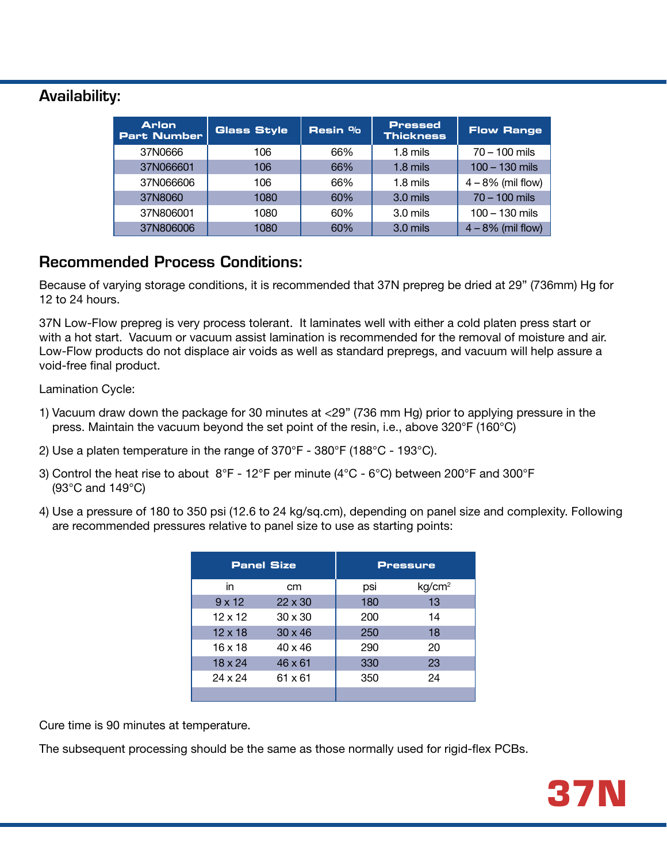### Availability:

| <b>Arlon</b><br>Part Number | <b>Glass Style</b> | Resin % | <b>Pressed</b><br><b>Thickness</b> | <b>Flow Range</b>   |
|-----------------------------|--------------------|---------|------------------------------------|---------------------|
| 37N0666                     | 106                | 66%     | $1.8$ mils                         | $70 - 100$ mils     |
| 37N066601                   | 106                | 66%     | $1.8$ mils                         | $100 - 130$ mils    |
| 37N066606                   | 106                | 66%     | $1.8$ mils                         | $4 - 8%$ (mil flow) |
| 37N8060                     | 1080               | 60%     | $3.0$ mils                         | $70 - 100$ mils     |
| 37N806001                   | 1080               | 60%     | $3.0$ mils                         | $100 - 130$ mils    |
| 37N806006                   | 1080               | 60%     | $3.0$ mils                         | $4 - 8%$ (mil flow) |

### Recommended Process Conditions:

Because of varying storage conditions, it is recommended that 37N prepreg be dried at 29" (736mm) Hg for 12 to 24 hours.

37N Low-Flow prepreg is very process tolerant. It laminates well with either a cold platen press start or with a hot start. Vacuum or vacuum assist lamination is recommended for the removal of moisture and air. **Thickness** with a not start. Vasaam or vasaam assist farmination is resommended for the removal or moletare and all.<br>Low-Flow products do not displace air voids as well as standard prepregs, and vacuum will help assure a void-free final product. **Panel Size Pressure**  $510$  $\frac{1}{2}$  $\overline{\phantom{a}}$  $1.8$  millim  $200 \times 100 \times 100$ 100 – 130 mils

Lamination Cycle:

- 1) Vacuum draw down the package for 30 minutes at <29" (736 mm Hg) prior to applying pressure in the press. Maintain the vacuum beyond the set point of the resin, i.e., above 320°F (160°C) 4 – 8% (mil flow)
- 2) Use a platen temperature in the range of 370°F 380°F (188°C 193°C).
- 3) Control the heat rise to about  $8^{\circ}$ F 12 $^{\circ}$ F per minute (4 $^{\circ}$ C 6 $^{\circ}$ C) between 200 $^{\circ}$ F and 300 $^{\circ}$ F (93 $^{\circ}$ C and 149 $^{\circ}$ C)
- 4) Use a pressure of 180 to 350 psi (12.6 to 24 kg/sq.cm), depending on panel size and complexity. Following are recommended pressures relative to panel size to use as starting points:

| <b>Panel Size</b> |                | <b>Pressure</b> |                    |  |
|-------------------|----------------|-----------------|--------------------|--|
| in                | cm             | psi             | kg/cm <sup>2</sup> |  |
| $9 \times 12$     | $22 \times 30$ | 180             | 13                 |  |
| $12 \times 12$    | $30 \times 30$ | 200             | 14                 |  |
| $12 \times 18$    | $30 \times 46$ | 250             | 18                 |  |
| $16 \times 18$    | $40 \times 46$ | 290             | 20                 |  |
| $18 \times 24$    | $46 \times 61$ | 330             | 23                 |  |
| 24 x 24           | 61 x 61        | 350             | 24                 |  |
|                   |                |                 |                    |  |

Cure time is 90 minutes at temperature.

The subsequent processing should be the same as those normally used for rigid-flex PCBs.